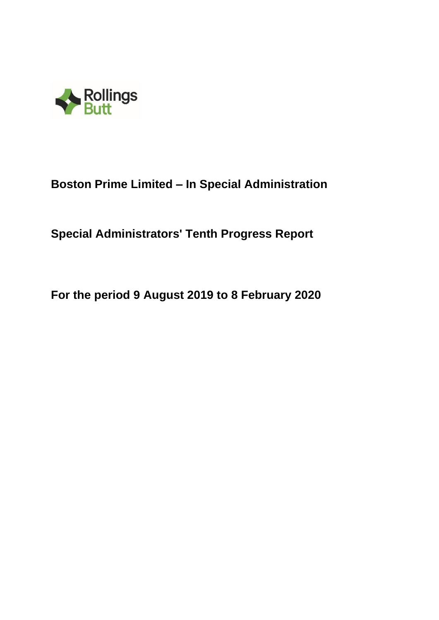

# **Boston Prime Limited – In Special Administration**

**Special Administrators' Tenth Progress Report**

**For the period 9 August 2019 to 8 February 2020**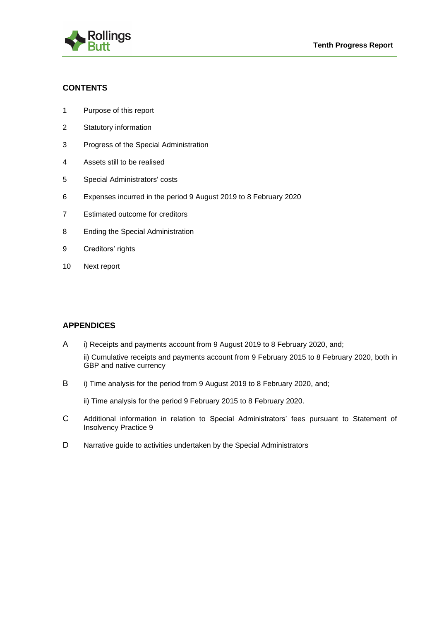

# **CONTENTS**

- 1 Purpose of this report
- 2 Statutory information
- 3 Progress of the Special Administration
- 4 Assets still to be realised
- 5 Special Administrators' costs
- 6 Expenses incurred in the period 9 August 2019 to 8 February 2020
- 7 Estimated outcome for creditors
- 8 Ending the Special Administration
- 9 Creditors' rights
- 10 Next report

# **APPENDICES**

- A i) Receipts and payments account from 9 August 2019 to 8 February 2020, and;
	- ii) Cumulative receipts and payments account from 9 February 2015 to 8 February 2020, both in GBP and native currency
- B i) Time analysis for the period from 9 August 2019 to 8 February 2020, and;

ii) Time analysis for the period 9 February 2015 to 8 February 2020.

- C Additional information in relation to Special Administrators' fees pursuant to Statement of Insolvency Practice 9
- D Narrative guide to activities undertaken by the Special Administrators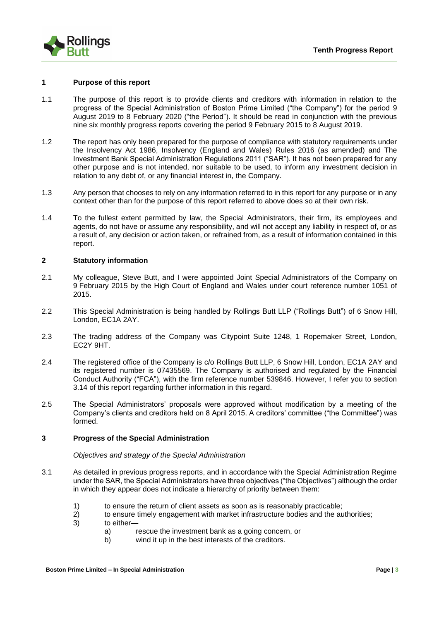

#### **1 Purpose of this report**

- 1.1 The purpose of this report is to provide clients and creditors with information in relation to the progress of the Special Administration of Boston Prime Limited ("the Company") for the period 9 August 2019 to 8 February 2020 ("the Period"). It should be read in conjunction with the previous nine six monthly progress reports covering the period 9 February 2015 to 8 August 2019.
- 1.2 The report has only been prepared for the purpose of compliance with statutory requirements under the Insolvency Act 1986, Insolvency (England and Wales) Rules 2016 (as amended) and The Investment Bank Special Administration Regulations 2011 ("SAR"). It has not been prepared for any other purpose and is not intended, nor suitable to be used, to inform any investment decision in relation to any debt of, or any financial interest in, the Company.
- 1.3 Any person that chooses to rely on any information referred to in this report for any purpose or in any context other than for the purpose of this report referred to above does so at their own risk.
- 1.4 To the fullest extent permitted by law, the Special Administrators, their firm, its employees and agents, do not have or assume any responsibility, and will not accept any liability in respect of, or as a result of, any decision or action taken, or refrained from, as a result of information contained in this report.

#### **2 Statutory information**

- 2.1 My colleague, Steve Butt, and I were appointed Joint Special Administrators of the Company on 9 February 2015 by the High Court of England and Wales under court reference number 1051 of 2015.
- 2.2 This Special Administration is being handled by Rollings Butt LLP ("Rollings Butt") of 6 Snow Hill, London, EC1A 2AY.
- 2.3 The trading address of the Company was Citypoint Suite 1248, 1 Ropemaker Street, London, EC2Y 9HT.
- 2.4 The registered office of the Company is c/o Rollings Butt LLP, 6 Snow Hill, London, EC1A 2AY and its registered number is 07435569. The Company is authorised and regulated by the Financial Conduct Authority ("FCA"), with the firm reference number 539846. However, I refer you to section 3.14 of this report regarding further information in this regard.
- 2.5 The Special Administrators' proposals were approved without modification by a meeting of the Company's clients and creditors held on 8 April 2015. A creditors' committee ("the Committee") was formed.

#### **3 Progress of the Special Administration**

#### *Objectives and strategy of the Special Administration*

- 3.1 As detailed in previous progress reports, and in accordance with the Special Administration Regime under the SAR, the Special Administrators have three objectives ("the Objectives") although the order in which they appear does not indicate a hierarchy of priority between them:
	- 1) to ensure the return of client assets as soon as is reasonably practicable;
	- 2) to ensure timely engagement with market infrastructure bodies and the authorities;
	- 3) to either
		- a) rescue the investment bank as a going concern, or
		- b) wind it up in the best interests of the creditors.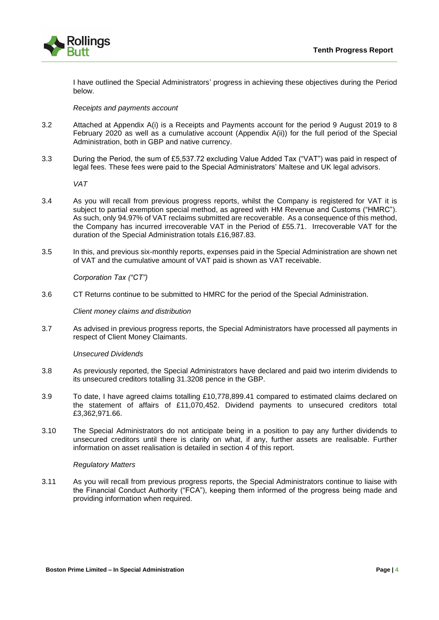I have outlined the Special Administrators' progress in achieving these objectives during the Period below.

#### *Receipts and payments account*

- 3.2 Attached at Appendix A(i) is a Receipts and Payments account for the period 9 August 2019 to 8 February 2020 as well as a cumulative account (Appendix A(ii)) for the full period of the Special Administration, both in GBP and native currency.
- 3.3 During the Period, the sum of £5,537.72 excluding Value Added Tax ("VAT") was paid in respect of legal fees. These fees were paid to the Special Administrators' Maltese and UK legal advisors.

*VAT* 

- 3.4 As you will recall from previous progress reports, whilst the Company is registered for VAT it is subject to partial exemption special method, as agreed with HM Revenue and Customs ("HMRC"). As such, only 94.97% of VAT reclaims submitted are recoverable. As a consequence of this method, the Company has incurred irrecoverable VAT in the Period of £55.71. Irrecoverable VAT for the duration of the Special Administration totals £16,987.83.
- 3.5 In this, and previous six-monthly reports, expenses paid in the Special Administration are shown net of VAT and the cumulative amount of VAT paid is shown as VAT receivable.

*Corporation Tax ("CT")*

3.6 CT Returns continue to be submitted to HMRC for the period of the Special Administration.

*Client money claims and distribution*

3.7 As advised in previous progress reports, the Special Administrators have processed all payments in respect of Client Money Claimants.

#### *Unsecured Dividends*

- 3.8 As previously reported, the Special Administrators have declared and paid two interim dividends to its unsecured creditors totalling 31.3208 pence in the GBP.
- 3.9 To date, I have agreed claims totalling £10,778,899.41 compared to estimated claims declared on the statement of affairs of £11,070,452. Dividend payments to unsecured creditors total £3,362,971.66.
- 3.10 The Special Administrators do not anticipate being in a position to pay any further dividends to unsecured creditors until there is clarity on what, if any, further assets are realisable. Further information on asset realisation is detailed in section 4 of this report.

#### *Regulatory Matters*

3.11 As you will recall from previous progress reports, the Special Administrators continue to liaise with the Financial Conduct Authority ("FCA"), keeping them informed of the progress being made and providing information when required.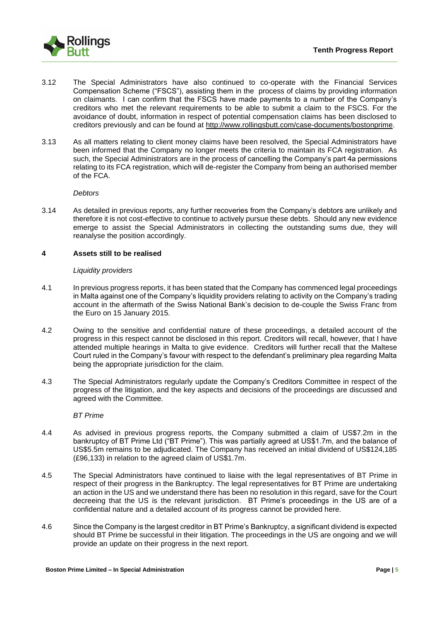

- 3.12 The Special Administrators have also continued to co-operate with the Financial Services Compensation Scheme ("FSCS"), assisting them in the process of claims by providing information on claimants. I can confirm that the FSCS have made payments to a number of the Company's creditors who met the relevant requirements to be able to submit a claim to the FSCS. For the avoidance of doubt, information in respect of potential compensation claims has been disclosed to creditors previously and can be found at [http://www.rollingsbutt.com/case-documents/bostonprime.](http://www.rollingsbutt.com/case-documents/bostonprime)
- 3.13 As all matters relating to client money claims have been resolved, the Special Administrators have been informed that the Company no longer meets the criteria to maintain its FCA registration. As such, the Special Administrators are in the process of cancelling the Company's part 4a permissions relating to its FCA registration, which will de-register the Company from being an authorised member of the FCA.

#### *Debtors*

3.14 As detailed in previous reports, any further recoveries from the Company's debtors are unlikely and therefore it is not cost-effective to continue to actively pursue these debts. Should any new evidence emerge to assist the Special Administrators in collecting the outstanding sums due, they will reanalyse the position accordingly.

#### **4 Assets still to be realised**

#### *Liquidity providers*

- 4.1 In previous progress reports, it has been stated that the Company has commenced legal proceedings in Malta against one of the Company's liquidity providers relating to activity on the Company's trading account in the aftermath of the Swiss National Bank's decision to de-couple the Swiss Franc from the Euro on 15 January 2015.
- 4.2 Owing to the sensitive and confidential nature of these proceedings, a detailed account of the progress in this respect cannot be disclosed in this report. Creditors will recall, however, that I have attended multiple hearings in Malta to give evidence. Creditors will further recall that the Maltese Court ruled in the Company's favour with respect to the defendant's preliminary plea regarding Malta being the appropriate jurisdiction for the claim.
- 4.3 The Special Administrators regularly update the Company's Creditors Committee in respect of the progress of the litigation, and the key aspects and decisions of the proceedings are discussed and agreed with the Committee.

#### *BT Prime*

- 4.4 As advised in previous progress reports, the Company submitted a claim of US\$7.2m in the bankruptcy of BT Prime Ltd ("BT Prime"). This was partially agreed at US\$1.7m, and the balance of US\$5.5m remains to be adjudicated. The Company has received an initial dividend of US\$124,185 (£96,133) in relation to the agreed claim of US\$1.7m.
- 4.5 The Special Administrators have continued to liaise with the legal representatives of BT Prime in respect of their progress in the Bankruptcy. The legal representatives for BT Prime are undertaking an action in the US and we understand there has been no resolution in this regard, save for the Court decreeing that the US is the relevant jurisdiction. BT Prime's proceedings in the US are of a confidential nature and a detailed account of its progress cannot be provided here.
- 4.6 Since the Company is the largest creditor in BT Prime's Bankruptcy, a significant dividend is expected should BT Prime be successful in their litigation. The proceedings in the US are ongoing and we will provide an update on their progress in the next report.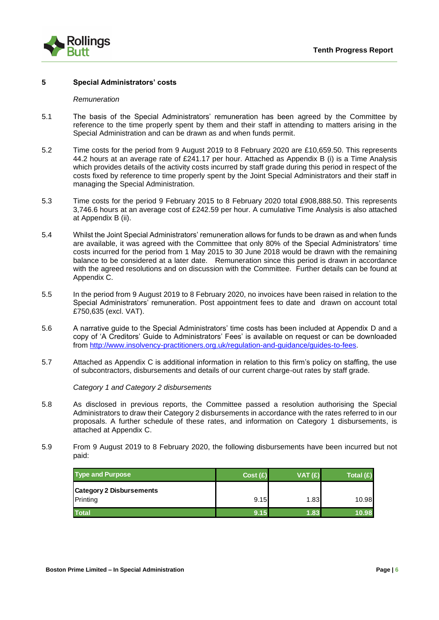

#### **5 Special Administrators' costs**

#### *Remuneration*

- 5.1 The basis of the Special Administrators' remuneration has been agreed by the Committee by reference to the time properly spent by them and their staff in attending to matters arising in the Special Administration and can be drawn as and when funds permit.
- 5.2 Time costs for the period from 9 August 2019 to 8 February 2020 are £10,659.50. This represents 44.2 hours at an average rate of £241.17 per hour. Attached as Appendix B (i) is a Time Analysis which provides details of the activity costs incurred by staff grade during this period in respect of the costs fixed by reference to time properly spent by the Joint Special Administrators and their staff in managing the Special Administration.
- 5.3 Time costs for the period 9 February 2015 to 8 February 2020 total £908,888.50. This represents 3,746.6 hours at an average cost of £242.59 per hour. A cumulative Time Analysis is also attached at Appendix B (ii).
- 5.4 Whilst the Joint Special Administrators' remuneration allows for funds to be drawn as and when funds are available, it was agreed with the Committee that only 80% of the Special Administrators' time costs incurred for the period from 1 May 2015 to 30 June 2018 would be drawn with the remaining balance to be considered at a later date. Remuneration since this period is drawn in accordance with the agreed resolutions and on discussion with the Committee. Further details can be found at Appendix C.
- 5.5 In the period from 9 August 2019 to 8 February 2020, no invoices have been raised in relation to the Special Administrators' remuneration. Post appointment fees to date and drawn on account total £750,635 (excl. VAT).
- 5.6 A narrative guide to the Special Administrators' time costs has been included at Appendix D and a copy of 'A Creditors' Guide to Administrators' Fees' is available on request or can be downloaded from [http://www.insolvency-practitioners.org.uk/regulation-and-guidance/guides-to-fees.](http://www.insolvency-practitioners.org.uk/regulation-and-guidance/guides-to-fees)
- 5.7 Attached as Appendix C is additional information in relation to this firm's policy on staffing, the use of subcontractors, disbursements and details of our current charge-out rates by staff grade.

*Category 1 and Category 2 disbursements*

- 5.8 As disclosed in previous reports, the Committee passed a resolution authorising the Special Administrators to draw their Category 2 disbursements in accordance with the rates referred to in our proposals. A further schedule of these rates, and information on Category 1 disbursements, is attached at Appendix C.
- 5.9 From 9 August 2019 to 8 February 2020, the following disbursements have been incurred but not paid:

| <b>Type and Purpose</b>                     | Cost (£) | VAT(E) | Total $(E)$ |
|---------------------------------------------|----------|--------|-------------|
| <b>Category 2 Disbursements</b><br>Printing | 9.15     | 1.83   | 10.98       |
|                                             |          |        |             |
| <b>Total</b>                                | 9.15     | 1.83   | 10.98       |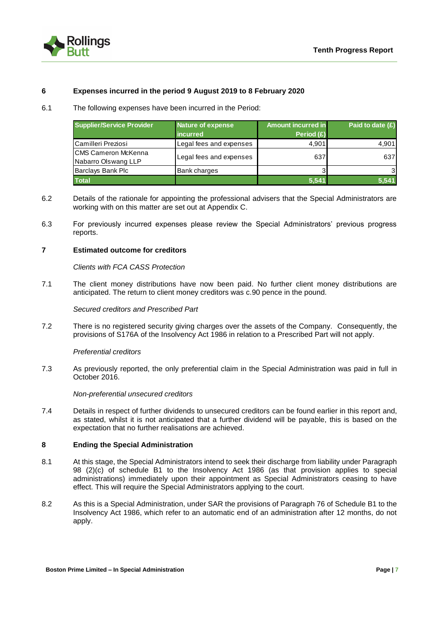

#### **6 Expenses incurred in the period 9 August 2019 to 8 February 2020**

6.1 The following expenses have been incurred in the Period:

| <b>Supplier/Service Provider</b>                   | Nature of expense<br>incurred | <b>Amount incurred in</b><br>Period $(E)$ | Paid to date $(f)$ |
|----------------------------------------------------|-------------------------------|-------------------------------------------|--------------------|
| Camilleri Preziosi                                 | Legal fees and expenses       | 4.901                                     | 4,901              |
| <b>ICMS Cameron McKenna</b><br>Nabarro Olswang LLP | Legal fees and expenses       | 637                                       | 637                |
| Barclays Bank Plc                                  | <b>Bank charges</b>           |                                           | 3                  |
| <b>Total</b>                                       |                               | 5.541                                     | 5.541              |

- 6.2 Details of the rationale for appointing the professional advisers that the Special Administrators are working with on this matter are set out at Appendix C.
- 6.3 For previously incurred expenses please review the Special Administrators' previous progress reports.

#### **7 Estimated outcome for creditors**

*Clients with FCA CASS Protection*

7.1 The client money distributions have now been paid. No further client money distributions are anticipated. The return to client money creditors was c.90 pence in the pound.

*Secured creditors and Prescribed Part*

7.2 There is no registered security giving charges over the assets of the Company. Consequently, the provisions of S176A of the Insolvency Act 1986 in relation to a Prescribed Part will not apply.

#### *Preferential creditors*

7.3 As previously reported, the only preferential claim in the Special Administration was paid in full in October 2016.

*Non-preferential unsecured creditors*

7.4 Details in respect of further dividends to unsecured creditors can be found earlier in this report and, as stated, whilst it is not anticipated that a further dividend will be payable, this is based on the expectation that no further realisations are achieved.

#### **8 Ending the Special Administration**

- 8.1 At this stage, the Special Administrators intend to seek their discharge from liability under Paragraph 98 (2)(c) of schedule B1 to the Insolvency Act 1986 (as that provision applies to special administrations) immediately upon their appointment as Special Administrators ceasing to have effect. This will require the Special Administrators applying to the court.
- 8.2 As this is a Special Administration, under SAR the provisions of Paragraph 76 of Schedule B1 to the Insolvency Act 1986, which refer to an automatic end of an administration after 12 months, do not apply.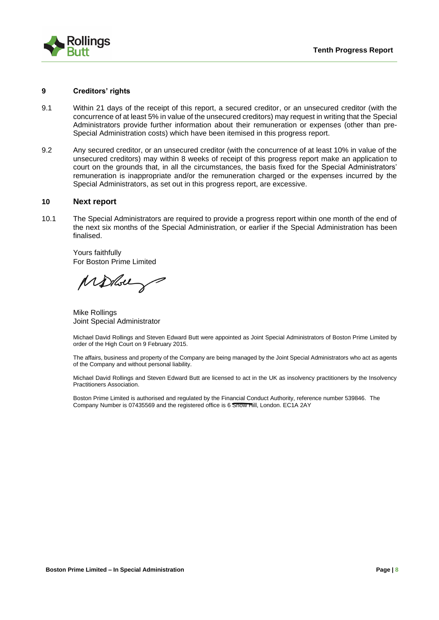

#### **9 Creditors' rights**

- 9.1 Within 21 days of the receipt of this report, a secured creditor, or an unsecured creditor (with the concurrence of at least 5% in value of the unsecured creditors) may request in writing that the Special Administrators provide further information about their remuneration or expenses (other than pre-Special Administration costs) which have been itemised in this progress report.
- 9.2 Any secured creditor, or an unsecured creditor (with the concurrence of at least 10% in value of the unsecured creditors) may within 8 weeks of receipt of this progress report make an application to court on the grounds that, in all the circumstances, the basis fixed for the Special Administrators' remuneration is inappropriate and/or the remuneration charged or the expenses incurred by the Special Administrators, as set out in this progress report, are excessive.

#### **10 Next report**

10.1 The Special Administrators are required to provide a progress report within one month of the end of the next six months of the Special Administration, or earlier if the Special Administration has been finalised.

Yours faithfully For Boston Prime Limited

Molberg

Mike Rollings Joint Special Administrator

Michael David Rollings and Steven Edward Butt were appointed as Joint Special Administrators of Boston Prime Limited by order of the High Court on 9 February 2015.

The affairs, business and property of the Company are being managed by the Joint Special Administrators who act as agents of the Company and without personal liability.

Michael David Rollings and Steven Edward Butt are licensed to act in the UK as insolvency practitioners by the Insolvency Practitioners Association.

Boston Prime Limited is authorised and regulated by the Financial Conduct Authority, reference number 539846. The Company Number is 07435569 and the registered office is 6 Snow Hill, London. EC1A 2AY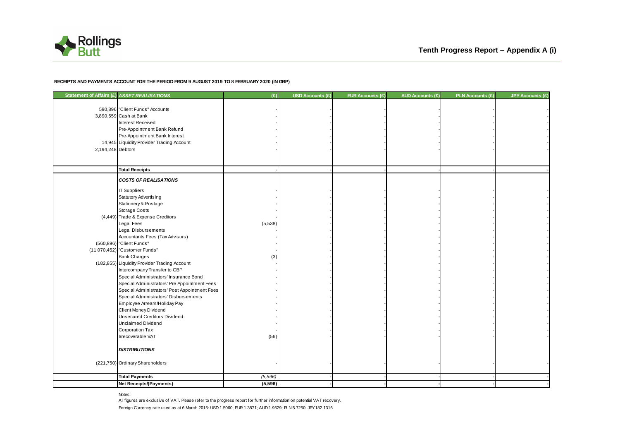

#### **RECEIPTS AND PAYMENTS ACCOUNT FOR THE PERIOD FROM 9 AUGUST 2019 TO 8 FEBRUARY 2020 (IN GBP)**

| Statement of Affairs (£) ASSET REALISATIONS |                                                                                                                                                                                                                                                                                                                                                                                                                                                                                                                                                                                                                                                                                                                                                                                                       | (E)                   | <b>USD Accounts (£)</b> | EUR Accounts (£) | <b>AUD Accounts (£)</b> | <b>PLN Accounts (£)</b> | <b>JPY Accounts (£)</b> |
|---------------------------------------------|-------------------------------------------------------------------------------------------------------------------------------------------------------------------------------------------------------------------------------------------------------------------------------------------------------------------------------------------------------------------------------------------------------------------------------------------------------------------------------------------------------------------------------------------------------------------------------------------------------------------------------------------------------------------------------------------------------------------------------------------------------------------------------------------------------|-----------------------|-------------------------|------------------|-------------------------|-------------------------|-------------------------|
| 2,194,248 Debtors                           | 590,896 "Client Funds" Accounts<br>3,890,559 Cash at Bank<br>Interest Received<br>Pre-Appointment Bank Refund<br>Pre-Appointment Bank Interest<br>14,945 Liquidity Provider Trading Account                                                                                                                                                                                                                                                                                                                                                                                                                                                                                                                                                                                                           |                       |                         |                  |                         |                         |                         |
|                                             | <b>Total Receipts</b>                                                                                                                                                                                                                                                                                                                                                                                                                                                                                                                                                                                                                                                                                                                                                                                 |                       |                         |                  |                         |                         |                         |
|                                             | <b>COSTS OF REALISATIONS</b><br><b>IT Suppliers</b><br><b>Statutory Advertising</b><br>Stationery & Postage<br>Storage Costs<br>(4,449) Trade & Expense Creditors<br>Legal Fees<br><b>Legal Disbursements</b><br>Accountants Fees (Tax Advisors)<br>(560,896) "Client Funds"<br>(11,070,452) "Customer Funds"<br><b>Bank Charges</b><br>(182,855) Liquidity Provider Trading Account<br>Intercompany Transfer to GBP<br>Special Administrators' Insurance Bond<br>Special Administrators' Pre Appointment Fees<br>Special Administrators' Post Appointment Fees<br>Special Administrators' Disbursements<br>Employee Arrears/Holiday Pay<br>Client Money Dividend<br><b>Unsecured Creditors Dividend</b><br><b>Unclaimed Dividend</b><br>Corporation Tax<br>Irrecoverable VAT<br><b>DISTRIBUTIONS</b> | (5,538)<br>(3<br>(56) |                         |                  |                         |                         |                         |
|                                             | (221,750) Ordinary Shareholders                                                                                                                                                                                                                                                                                                                                                                                                                                                                                                                                                                                                                                                                                                                                                                       |                       |                         |                  |                         |                         |                         |
|                                             | <b>Total Payments</b>                                                                                                                                                                                                                                                                                                                                                                                                                                                                                                                                                                                                                                                                                                                                                                                 | (5, 596)              |                         |                  |                         |                         |                         |
|                                             | <b>Net Receipts/(Payments)</b>                                                                                                                                                                                                                                                                                                                                                                                                                                                                                                                                                                                                                                                                                                                                                                        | (5,596)               |                         |                  |                         |                         |                         |

Notes:

Foreign Currency rate used as at 6 March 2015: USD 1.5060; EUR 1.3871; AUD 1.9529; PLN 5.7250; JPY182.1316 All figures are exclusive of VAT. Please refer to the progress report for further information on potential VAT recovery.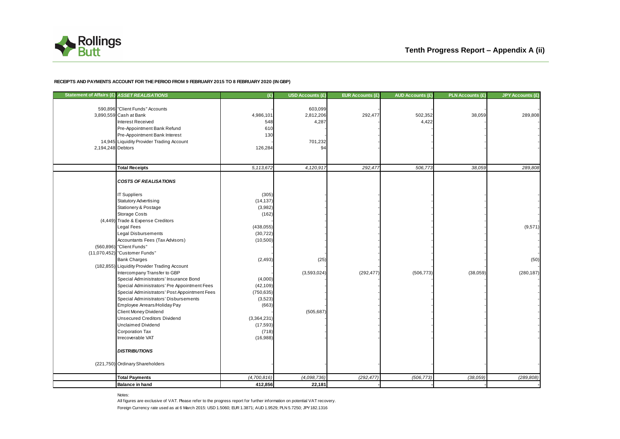

#### **RECEIPTS AND PAYMENTS ACCOUNT FOR THE PERIOD FROM 9 FEBRUARY 2015 TO 8 FEBRUARY 2020 (IN GBP)**

| Statement of Affairs (£) ASSET REALISATIONS |                                               | (E)         | <b>USD Accounts (£)</b> | EUR Accounts (£) | <b>AUD Accounts (£)</b> | <b>PLN Accounts (£)</b> | <b>JPY Accounts (£)</b> |
|---------------------------------------------|-----------------------------------------------|-------------|-------------------------|------------------|-------------------------|-------------------------|-------------------------|
|                                             | 590,896 "Client Funds" Accounts               |             | 603,099                 |                  |                         |                         |                         |
|                                             | 3,890,559 Cash at Bank                        | 4,986,101   | 2,812,206               | 292,477          | 502,352                 | 38,059                  | 289,808                 |
|                                             | Interest Received                             | 548         | 4,287                   |                  | 4,422                   |                         |                         |
|                                             | Pre-Appointment Bank Refund                   | 610         |                         |                  |                         |                         |                         |
|                                             | Pre-Appointment Bank Interest                 | 130         |                         |                  |                         |                         |                         |
|                                             | 14,945 Liquidity Provider Trading Account     |             | 701,232                 |                  |                         |                         |                         |
| 2,194,248 Debtors                           |                                               | 126,284     | 94                      |                  |                         |                         |                         |
|                                             |                                               |             |                         |                  |                         |                         |                         |
|                                             | <b>Total Receipts</b>                         | 5,113,672   | 4,120,917               | 292,477          | 506,773                 | 38,059                  | 289,808                 |
|                                             |                                               |             |                         |                  |                         |                         |                         |
|                                             | <b>COSTS OF REALISATIONS</b>                  |             |                         |                  |                         |                         |                         |
|                                             | <b>IT Suppliers</b>                           | (305)       |                         |                  |                         |                         |                         |
|                                             | <b>Statutory Advertising</b>                  | (14, 137)   |                         |                  |                         |                         |                         |
|                                             | Stationery & Postage                          | (3,982)     |                         |                  |                         |                         |                         |
|                                             | <b>Storage Costs</b>                          | (162)       |                         |                  |                         |                         |                         |
|                                             | (4,449) Trade & Expense Creditors             |             |                         |                  |                         |                         |                         |
|                                             | Legal Fees                                    | (438, 055)  |                         |                  |                         |                         | (9,571)                 |
|                                             | <b>Legal Disbursements</b>                    | (30, 722)   |                         |                  |                         |                         |                         |
|                                             | Accountants Fees (Tax Advisors)               | (10, 500)   |                         |                  |                         |                         |                         |
|                                             | (560,896) "Client Funds"                      |             |                         |                  |                         |                         |                         |
|                                             | (11,070,452) "Customer Funds"                 |             |                         |                  |                         |                         |                         |
|                                             | <b>Bank Charges</b>                           | (2, 493)    | (25)                    |                  |                         |                         | (50)                    |
|                                             | (182,855) Liquidity Provider Trading Account  |             |                         |                  |                         |                         |                         |
|                                             | Intercompany Transfer to GBP                  |             | (3,593,024)             | (292, 477)       | (506, 773)              | (38,059)                | (280, 187)              |
|                                             | Special Administrators' Insurance Bond        | (4,000)     |                         |                  |                         |                         |                         |
|                                             | Special Administrators' Pre Appointment Fees  | (42, 109)   |                         |                  |                         |                         |                         |
|                                             | Special Administrators' Post Appointment Fees | (750, 635)  |                         |                  |                         |                         |                         |
|                                             | Special Administrators' Disbursements         | (3, 523)    |                         |                  |                         |                         |                         |
|                                             | Employee Arrears/Holiday Pay                  | (663)       |                         |                  |                         |                         |                         |
|                                             | Client Money Dividend                         |             | (505, 687)              |                  |                         |                         |                         |
|                                             | <b>Unsecured Creditors Dividend</b>           | (3,364,231) |                         |                  |                         |                         |                         |
|                                             | <b>Unclaimed Dividend</b>                     | (17, 593)   |                         |                  |                         |                         |                         |
|                                             | <b>Corporation Tax</b>                        | (718)       |                         |                  |                         |                         |                         |
|                                             | Irrecoverable VAT                             | (16,988)    |                         |                  |                         |                         |                         |
|                                             | <b>DISTRIBUTIONS</b>                          |             |                         |                  |                         |                         |                         |
|                                             | (221,750) Ordinary Shareholders               |             |                         |                  |                         |                         |                         |
|                                             |                                               |             |                         |                  |                         |                         |                         |
|                                             | <b>Total Payments</b>                         | (4,700,816) | (4,098,736)             | (292, 477)       | (506, 773)              | (38,059)                | (289, 808)              |
|                                             | <b>Balance in hand</b>                        | 412,856     | 22,181                  |                  |                         |                         |                         |

Notes:

Foreign Currency rate used as at 6 March 2015: USD 1.5060; EUR 1.3871; AUD 1.9529; PLN 5.7250; JPY182.1316 All figures are exclusive of VAT. Please refer to the progress report for further information on potential VAT recovery.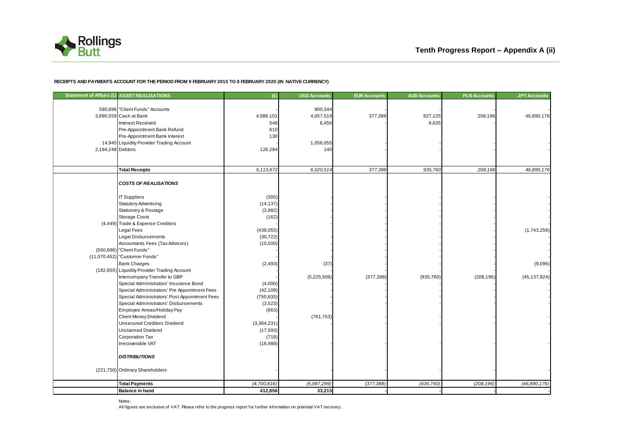

#### **RECEIPTS AND PAYMENTS ACCOUNT FOR THE PERIOD FROM 9 FEBRUARY 2015 TO 8 FEBRUARY 2020 (IN NATIVE CURRENCY)**

| Statement of Affairs (£) ASSET REALISATIONS |                                                                                                                                                                                                                 | (E)                                                    | <b>USD Accounts</b>           | <b>EUR Accounts</b> | <b>AUD Accounts</b> | <b>PLN Accounts</b> | <b>JPY Accounts</b>       |
|---------------------------------------------|-----------------------------------------------------------------------------------------------------------------------------------------------------------------------------------------------------------------|--------------------------------------------------------|-------------------------------|---------------------|---------------------|---------------------|---------------------------|
|                                             | 590,896 "Client Funds" Accounts<br>3,890,559 Cash at Bank<br>Interest Received<br>Pre-Appointment Bank Refund                                                                                                   | 4,986,101<br>548<br>610                                | 900,344<br>4,057,519<br>6,456 | 377,388             | 927,125<br>8,635    | 208,196             | 46,890,176                |
| 2,194,248 Debtors                           | Pre-Appointment Bank Interest<br>14,945 Liquidity Provider Trading Account                                                                                                                                      | 130<br>126,284                                         | 1,056,055<br>140              |                     |                     |                     |                           |
|                                             | <b>Total Receipts</b>                                                                                                                                                                                           | 5,113,672                                              | 6,020,514                     | 377,388             | 935,760             | 208,196             | 46,890,176                |
|                                             | <b>COSTS OF REALISATIONS</b><br><b>IT Suppliers</b>                                                                                                                                                             | (305)                                                  |                               |                     |                     |                     |                           |
|                                             | <b>Statutory Advertising</b><br>Stationery & Postage<br><b>Storage Costs</b>                                                                                                                                    | (14, 137)<br>(3,982)<br>(162)                          |                               |                     |                     |                     |                           |
|                                             | (4,449) Trade & Expense Creditors<br>Legal Fees<br>Legal Disbursements<br>Accountants Fees (Tax Advisors)                                                                                                       | (438, 055)<br>(30, 722)<br>(10, 500)                   |                               |                     |                     |                     | (1,743,256)               |
|                                             | (560,896) "Client Funds"<br>(11,070,452) "Customer Funds"                                                                                                                                                       |                                                        |                               |                     |                     |                     |                           |
|                                             | <b>Bank Charges</b><br>(182,855) Liquidity Provider Trading Account<br>Intercompany Transfer to GBP                                                                                                             | (2, 493)                                               | (37)<br>(5,225,508)           | (377, 388)          | (935, 760)          | (208, 196)          | (9,096)<br>(45, 137, 824) |
|                                             | Special Administrators' Insurance Bond<br>Special Administrators' Pre Appointment Fees<br>Special Administrators' Post Appointment Fees<br>Special Administrators' Disbursements<br>Employee Arreas/Holiday Pay | (4,000)<br>(42, 109)<br>(750, 635)<br>(3,523)<br>(663) |                               |                     |                     |                     |                           |
|                                             | Client Money Dividend<br><b>Unsecured Creditors Dividend</b><br><b>Unclaimed Dividend</b><br><b>Corporation Tax</b><br>Irrecoverable VAT                                                                        | (3,364,231)<br>(17, 593)<br>(718)<br>(16,988)          | (761, 753)                    |                     |                     |                     |                           |
|                                             | <b>DISTRIBUTIONS</b>                                                                                                                                                                                            |                                                        |                               |                     |                     |                     |                           |
|                                             | (221,750) Ordinary Shareholders                                                                                                                                                                                 |                                                        |                               |                     |                     |                     |                           |
|                                             | <b>Total Payments</b>                                                                                                                                                                                           | (4,700,816)                                            | (5,987,299)                   | (377, 388)          | (935, 760)          | (208, 196)          | (46,890,176)              |
|                                             | <b>Balance in hand</b>                                                                                                                                                                                          | 412,856                                                | 33,215                        |                     |                     |                     |                           |

Notes:

All figures are exclusive of VAT. Please refer to the progress report for further information on potential VAT recovery.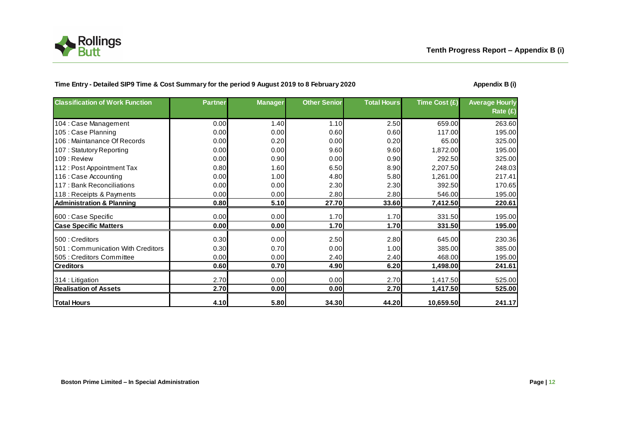

### Time Entry - Detailed SIP9 Time & Cost Summary for the period 9 August 2019 to 8 February 2020 **August 2019 Appendix B** (i)

| <b>Classification of Work Function</b> | <b>Partner</b> | <b>Manager</b> | <b>Other Senior</b> | <b>Total Hours</b> | Time Cost (£) | <b>Average Hourly</b><br>Rate (£) |
|----------------------------------------|----------------|----------------|---------------------|--------------------|---------------|-----------------------------------|
| 104 : Case Management                  | 0.00           | 1.40           | 1.10                | 2.50               | 659.00        | 263.60                            |
| 105 : Case Planning                    | 0.00           | 0.00           | 0.60                | 0.60               | 117.00        | 195.00                            |
| 106 : Maintanance Of Records           | 0.00           | 0.20           | 0.00                | 0.20               | 65.00         | 325.00                            |
| 107: Statutory Reporting               | 0.00           | 0.00           | 9.60                | 9.60               | 1,872.00      | 195.00                            |
| 109 : Review                           | 0.00           | 0.90           | 0.00                | 0.90               | 292.50        | 325.00                            |
| 112: Post Appointment Tax              | 0.80           | 1.60           | 6.50                | 8.90               | 2,207.50      | 248.03                            |
| 116 : Case Accounting                  | 0.00           | 1.00           | 4.80                | 5.80               | 1,261.00      | 217.41                            |
| 117 : Bank Reconciliations             | 0.00           | 0.00           | 2.30                | 2.30               | 392.50        | 170.65                            |
| 118 : Receipts & Payments              | 0.00           | 0.00           | 2.80                | 2.80               | 546.00        | 195.00                            |
| <b>Administration &amp; Planning</b>   | 0.80           | 5.10           | 27.70               | 33.60              | 7,412.50      | 220.61                            |
|                                        | 0.00           | 0.00           | 1.70                | 1.70               | 331.50        | 195.00                            |
| 600 : Case Specific                    |                |                |                     |                    |               |                                   |
| <b>Case Specific Matters</b>           | 0.00           | 0.00           | 1.70                | 1.70               | 331.50        | 195.00                            |
| 500 : Creditors                        | 0.30           | 0.00           | 2.50                | 2.80               | 645.00        | 230.36                            |
| 501: Communication With Creditors      | 0.30           | 0.70           | 0.00                | 1.00               | 385.00        | 385.00                            |
| 505 : Creditors Committee              | 0.00           | 0.00           | 2.40                | 2.40               | 468.00        | 195.00                            |
| Creditors                              | 0.60           | 0.70           | 4.90                | 6.20               | 1,498.00      | 241.61                            |
| 314 : Litigation                       | 2.70           | 0.00           | 0.00                | 2.70               | 1,417.50      | 525.00                            |
| <b>Realisation of Assets</b>           | 2.70           | 0.00           | 0.00                | 2.70               | 1,417.50      | 525.00                            |
| <b>Total Hours</b>                     | 4.10           | 5.80           | 34.30               | 44.20              | 10,659.50     | 241.17                            |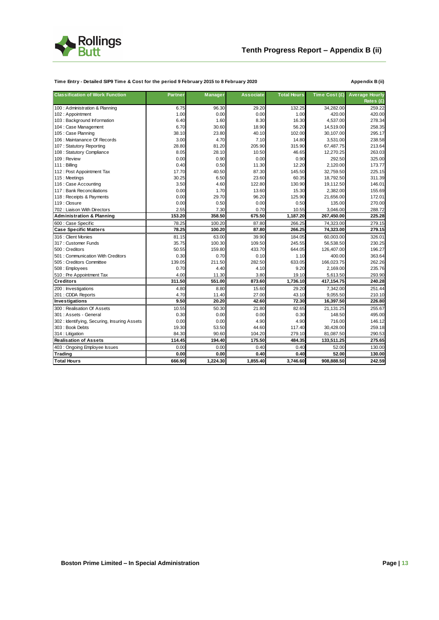

#### **Time Entry - Detailed SIP9 Time & Cost for the period 9 February 2015 to 8 February 2020 Appendix B (ii)**

| <b>Classification of Work Function</b>      | <b>Partner</b> | Manager  | <b>Associate</b> | <b>Total Hours</b> | Time Cost (£) | <b>Average Hourly</b> |
|---------------------------------------------|----------------|----------|------------------|--------------------|---------------|-----------------------|
|                                             |                |          |                  |                    |               | Rates $(E)$           |
| 100 : Administration & Planning             | 6.75           | 96.30    | 29.20            | 132.25             | 34,282.00     | 259.22                |
| 102 : Appointment                           | 1.00           | 0.00     | 0.00             | 1.00               | 420.00        | 420.00                |
| 103 : Background Information                | 6.40           | 1.60     | 8.30             | 16.30              | 4,537.00      | 278.34                |
| 104 : Case Management                       | 6.70           | 30.60    | 18.90            | 56.20              | 14,519.00     | 258.35                |
| 105 : Case Planning                         | 38.10          | 23.80    | 40.10            | 102.00             | 30,107.00     | 295.17                |
| 106 : Maintanance Of Records                | 3.00           | 4.70     | 7.10             | 14.80              | 3,531.00      | 238.58                |
| 107: Statutory Reporting                    | 28.80          | 81.20    | 205.90           | 315.90             | 67,487.75     | 213.64                |
| 108 : Statutory Compliance                  | 8.05           | 28.10    | 10.50            | 46.65              | 12,270.25     | 263.03                |
| 109 : Review                                | 0.00           | 0.90     | 0.00             | 0.90               | 292.50        | 325.00                |
| 111 : Billing                               | 0.40           | 0.50     | 11.30            | 12.20              | 2.120.00      | 173.77                |
| 112 : Post Appointment Tax                  | 17.70          | 40.50    | 87.30            | 145.50             | 32,759.50     | 225.15                |
| 115: Meetings                               | 30.25          | 6.50     | 23.60            | 60.35              | 18,792.50     | 311.39                |
| 116 : Case Accounting                       | 3.50           | 4.60     | 122.80           | 130.90             | 19,112.50     | 146.01                |
| 117 : Bank Reconciliations                  | 0.00           | 1.70     | 13.60            | 15.30              | 2,382.00      | 155.69                |
| 118 : Receipts & Payments                   | 0.00           | 29.70    | 96.20            | 125.90             | 21,656.00     | 172.01                |
| 119 : Closure                               | 0.00           | 0.50     | 0.00             | 0.50               | 135.00        | 270.00                |
| 702: Liaison With Directors                 | 2.55           | 7.30     | 0.70             | 10.55              | 3.046.00      | 288.72                |
| <b>Administration &amp; Planning</b>        | 153.20         | 358.50   | 675.50           | 1,187.20           | 267,450.00    | 225.28                |
| 600 : Case Specific                         | 78.25          | 100.20   | 87.80            | 266.25             | 74,323.00     | 279.15                |
| <b>Case Specific Matters</b>                | 78.25          | 100.20   | 87.80            | 266.25             | 74,323.00     | 279.15                |
| 316 : Client Monies                         | 81.15          | 63.00    | 39.90            | 184.05             | 60,003.00     | 326.01                |
| 317 : Customer Funds                        | 35.75          | 100.30   | 109.50           | 245.55             | 56,538.50     | 230.25                |
| 500 : Creditors                             | 50.55          | 159.80   | 433.70           | 644.05             | 126,407.00    | 196.27                |
| 501: Communication With Creditors           | 0.30           | 0.70     | 0.10             | 1.10               | 400.00        | 363.64                |
| 505 : Creditors Committee                   | 139.05         | 211.50   | 282.50           | 633.05             | 166,023.75    | 262.26                |
| 508 : Employees                             | 0.70           | 4.40     | 4.10             | 9.20               | 2,169.00      | 235.76                |
| 510 : Pre Appointment Tax                   | 4.00           | 11.30    | 3.80             | 19.10              | 5,613.50      | 293.90                |
| <b>Creditors</b>                            | 311.50         | 551.00   | 873.60           | 1,736.10           | 417,154.75    | 240.28                |
| 200 : Investigations                        | 4.80           | 8.80     | 15.60            | 29.20              | 7,342.00      | 251.44                |
| 201 : CDDA Reports                          | 4.70           | 11.40    | 27.00            | 43.10              | 9,055.50      | 210.10                |
| Investigations                              | 9.50           | 20.20    | 42.60            | 72.30              | 16,397.50     | 226.80                |
| 300 : Realisation Of Assets                 | 10.55          | 50.30    | 21.80            | 82.65              | 21,131.25     | 255.67                |
| 301 : Assets - General                      | 0.30           | 0.00     | 0.00             | 0.30               | 148.50        | 495.00                |
| 302: Identifying, Securing, Insuring Assets | 0.00           | 0.00     | 4.90             | 4.90               | 716.00        | 146.12                |
| 303: Book Debts                             | 19.30          | 53.50    | 44.60            | 117.40             | 30,428.00     | 259.18                |
| 314 : Litigation                            | 84.30          | 90.60    | 104.20           | 279.10             | 81,087.50     | 290.53                |
| <b>Realisation of Assets</b>                | 114.45         | 194.40   | 175.50           | 484.35             | 133,511.25    | 275.65                |
| 403 : Ongoing Employee Issues               | 0.00           | 0.00     | 0.40             | 0.40               | 52.00         | 130.00                |
| Trading                                     | 0.00           | 0.00     | 0.40             | 0.40               | 52.00         | 130.00                |
| <b>Total Hours</b>                          | 666.90         | 1,224.30 | 1,855.40         | 3,746.60           | 908,888.50    | 242.59                |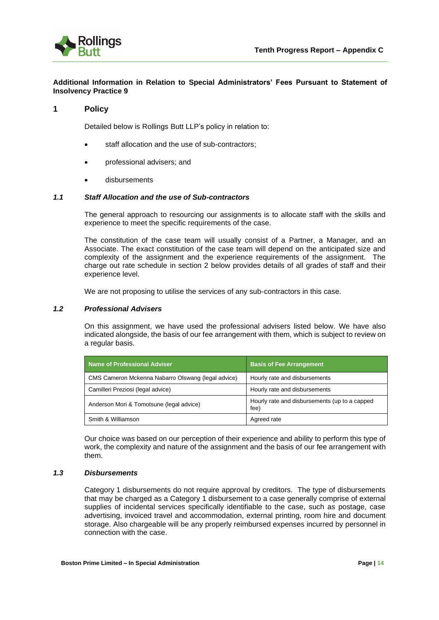

#### **Additional Information in Relation to Special Administrators' Fees Pursuant to Statement of Insolvency Practice 9**

#### **1 Policy**

Detailed below is Rollings Butt LLP's policy in relation to:

- staff allocation and the use of sub-contractors;
- professional advisers; and
- disbursements

#### *1.1 Staff Allocation and the use of Sub-contractors*

The general approach to resourcing our assignments is to allocate staff with the skills and experience to meet the specific requirements of the case.

The constitution of the case team will usually consist of a Partner, a Manager, and an Associate. The exact constitution of the case team will depend on the anticipated size and complexity of the assignment and the experience requirements of the assignment. The charge out rate schedule in section 2 below provides details of all grades of staff and their experience level.

We are not proposing to utilise the services of any sub-contractors in this case.

#### *1.2 Professional Advisers*

On this assignment, we have used the professional advisers listed below. We have also indicated alongside, the basis of our fee arrangement with them, which is subject to review on a regular basis.

| <b>Name of Professional Adviser</b>                | <b>Basis of Fee Arrangement</b>                       |
|----------------------------------------------------|-------------------------------------------------------|
| CMS Cameron Mckenna Nabarro Olswang (legal advice) | Hourly rate and disbursements                         |
| Camilleri Preziosi (legal advice)                  | Hourly rate and disbursements                         |
| Anderson Mori & Tomotsune (legal advice)           | Hourly rate and disbursements (up to a capped<br>fee) |
| Smith & Williamson                                 | Agreed rate                                           |

Our choice was based on our perception of their experience and ability to perform this type of work, the complexity and nature of the assignment and the basis of our fee arrangement with them.

#### *1.3 Disbursements*

Category 1 disbursements do not require approval by creditors. The type of disbursements that may be charged as a Category 1 disbursement to a case generally comprise of external supplies of incidental services specifically identifiable to the case, such as postage, case advertising, invoiced travel and accommodation, external printing, room hire and document storage. Also chargeable will be any properly reimbursed expenses incurred by personnel in connection with the case.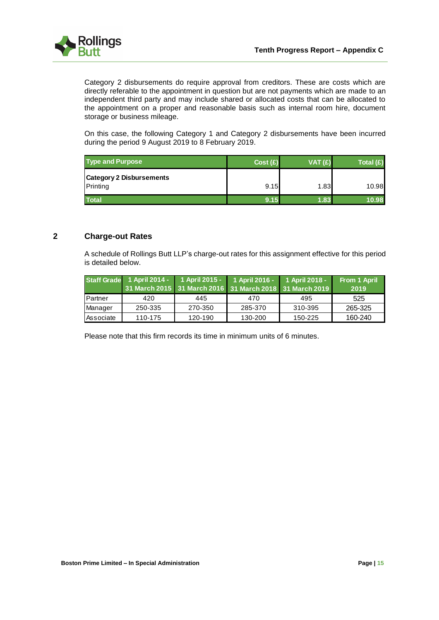

Category 2 disbursements do require approval from creditors. These are costs which are directly referable to the appointment in question but are not payments which are made to an independent third party and may include shared or allocated costs that can be allocated to the appointment on a proper and reasonable basis such as internal room hire, document storage or business mileage.

On this case, the following Category 1 and Category 2 disbursements have been incurred during the period 9 August 2019 to 8 February 2019.

| <b>Type and Purpose</b>                     | Cost(E) | VAT(E) | Total $(E)$ |
|---------------------------------------------|---------|--------|-------------|
| <b>Category 2 Disbursements</b><br>Printing | 9.15    | 1.83   | 10.98       |
| <b>Total</b>                                | 9.15    | 1.83   | 10.98       |

### **2 Charge-out Rates**

A schedule of Rollings Butt LLP's charge-out rates for this assignment effective for this period is detailed below.

|           |         | Staff Grade 1 April 2014 - 1 April 2015 - 1 April 2016 - 1 April 2018 - |         |                                                         | From 1 April |
|-----------|---------|-------------------------------------------------------------------------|---------|---------------------------------------------------------|--------------|
|           |         |                                                                         |         | 31 March 2015 31 March 2016 31 March 2018 31 March 2019 | 2019         |
| Partner   | 420     | 445                                                                     | 470     | 495                                                     | 525          |
| Manager   | 250-335 | 270-350                                                                 | 285-370 | 310-395                                                 | 265-325      |
| Associate | 110-175 | 120-190                                                                 | 130-200 | 150-225                                                 | 160-240      |

Please note that this firm records its time in minimum units of 6 minutes.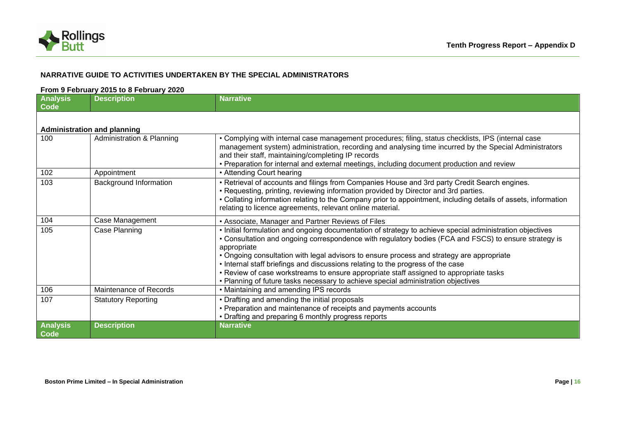

## **NARRATIVE GUIDE TO ACTIVITIES UNDERTAKEN BY THE SPECIAL ADMINISTRATORS**

#### **From 9 February 2015 to 8 February 2020**

| <b>Analysis</b><br>$\overline{\textsf{Code}}$ | <b>Description</b>                 | <b>Narrative</b>                                                                                                                                                                                                                                                                                                                                                                                                                                                                                                                                                                                |
|-----------------------------------------------|------------------------------------|-------------------------------------------------------------------------------------------------------------------------------------------------------------------------------------------------------------------------------------------------------------------------------------------------------------------------------------------------------------------------------------------------------------------------------------------------------------------------------------------------------------------------------------------------------------------------------------------------|
|                                               | <b>Administration and planning</b> |                                                                                                                                                                                                                                                                                                                                                                                                                                                                                                                                                                                                 |
| 100                                           | Administration & Planning          | • Complying with internal case management procedures; filing, status checklists, IPS (internal case<br>management system) administration, recording and analysing time incurred by the Special Administrators<br>and their staff, maintaining/completing IP records<br>• Preparation for internal and external meetings, including document production and review                                                                                                                                                                                                                               |
| 102                                           | Appointment                        | • Attending Court hearing                                                                                                                                                                                                                                                                                                                                                                                                                                                                                                                                                                       |
| 103                                           | <b>Background Information</b>      | • Retrieval of accounts and filings from Companies House and 3rd party Credit Search engines.<br>• Requesting, printing, reviewing information provided by Director and 3rd parties.<br>• Collating information relating to the Company prior to appointment, including details of assets, information<br>relating to licence agreements, relevant online material.                                                                                                                                                                                                                             |
| 104                                           | Case Management                    | • Associate, Manager and Partner Reviews of Files                                                                                                                                                                                                                                                                                                                                                                                                                                                                                                                                               |
| 105                                           | Case Planning                      | . Initial formulation and ongoing documentation of strategy to achieve special administration objectives<br>• Consultation and ongoing correspondence with regulatory bodies (FCA and FSCS) to ensure strategy is<br>appropriate<br>• Ongoing consultation with legal advisors to ensure process and strategy are appropriate<br>. Internal staff briefings and discussions relating to the progress of the case<br>• Review of case workstreams to ensure appropriate staff assigned to appropriate tasks<br>• Planning of future tasks necessary to achieve special administration objectives |
| 106                                           | Maintenance of Records             | • Maintaining and amending IPS records                                                                                                                                                                                                                                                                                                                                                                                                                                                                                                                                                          |
| 107                                           | <b>Statutory Reporting</b>         | • Drafting and amending the initial proposals<br>• Preparation and maintenance of receipts and payments accounts<br>• Drafting and preparing 6 monthly progress reports                                                                                                                                                                                                                                                                                                                                                                                                                         |
| <b>Analysis</b><br>Code                       | <b>Description</b>                 | <b>Narrative</b>                                                                                                                                                                                                                                                                                                                                                                                                                                                                                                                                                                                |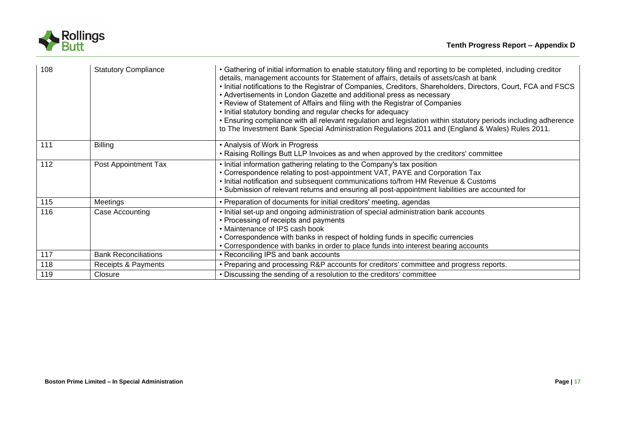

| 108 | <b>Statutory Compliance</b> | • Gathering of initial information to enable statutory filing and reporting to be completed, including creditor<br>details, management accounts for Statement of affairs, details of assets/cash at bank<br>. Initial notifications to the Registrar of Companies, Creditors, Shareholders, Directors, Court, FCA and FSCS<br>• Advertisements in London Gazette and additional press as necessary<br>• Review of Statement of Affairs and filing with the Registrar of Companies<br>. Initial statutory bonding and regular checks for adequacy<br>. Ensuring compliance with all relevant regulation and legislation within statutory periods including adherence<br>to The Investment Bank Special Administration Regulations 2011 and (England & Wales) Rules 2011. |
|-----|-----------------------------|-------------------------------------------------------------------------------------------------------------------------------------------------------------------------------------------------------------------------------------------------------------------------------------------------------------------------------------------------------------------------------------------------------------------------------------------------------------------------------------------------------------------------------------------------------------------------------------------------------------------------------------------------------------------------------------------------------------------------------------------------------------------------|
| 111 | <b>Billing</b>              | • Analysis of Work in Progress<br>• Raising Rollings Butt LLP Invoices as and when approved by the creditors' committee                                                                                                                                                                                                                                                                                                                                                                                                                                                                                                                                                                                                                                                 |
| 112 | Post Appointment Tax        | . Initial information gathering relating to the Company's tax position<br>• Correspondence relating to post-appointment VAT, PAYE and Corporation Tax<br>. Initial notification and subsequent communications to/from HM Revenue & Customs<br>• Submission of relevant returns and ensuring all post-appointment liabilities are accounted for                                                                                                                                                                                                                                                                                                                                                                                                                          |
| 115 | Meetings                    | • Preparation of documents for initial creditors' meeting, agendas                                                                                                                                                                                                                                                                                                                                                                                                                                                                                                                                                                                                                                                                                                      |
| 116 | Case Accounting             | . Initial set-up and ongoing administration of special administration bank accounts<br>• Processing of receipts and payments<br>• Maintenance of IPS cash book<br>• Correspondence with banks in respect of holding funds in specific currencies<br>• Correspondence with banks in order to place funds into interest bearing accounts                                                                                                                                                                                                                                                                                                                                                                                                                                  |
| 117 | <b>Bank Reconciliations</b> | • Reconciling IPS and bank accounts                                                                                                                                                                                                                                                                                                                                                                                                                                                                                                                                                                                                                                                                                                                                     |
| 118 | Receipts & Payments         | • Preparing and processing R&P accounts for creditors' committee and progress reports.                                                                                                                                                                                                                                                                                                                                                                                                                                                                                                                                                                                                                                                                                  |
| 119 | Closure                     | • Discussing the sending of a resolution to the creditors' committee                                                                                                                                                                                                                                                                                                                                                                                                                                                                                                                                                                                                                                                                                                    |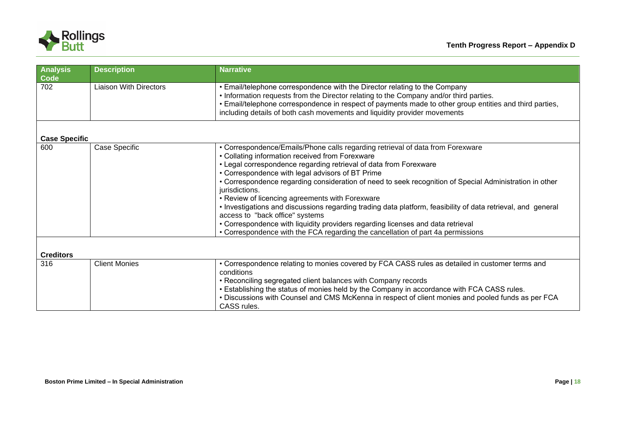

| <b>Analysis</b><br>Code | <b>Description</b>            | <b>Narrative</b>                                                                                                                                                                                                                                                                                                                                             |
|-------------------------|-------------------------------|--------------------------------------------------------------------------------------------------------------------------------------------------------------------------------------------------------------------------------------------------------------------------------------------------------------------------------------------------------------|
| 702                     | <b>Liaison With Directors</b> | • Email/telephone correspondence with the Director relating to the Company<br>. Information requests from the Director relating to the Company and/or third parties.<br>• Email/telephone correspondence in respect of payments made to other group entities and third parties,<br>including details of both cash movements and liquidity provider movements |
|                         |                               |                                                                                                                                                                                                                                                                                                                                                              |
| <b>Case Specific</b>    |                               |                                                                                                                                                                                                                                                                                                                                                              |
| 600                     | Case Specific                 | • Correspondence/Emails/Phone calls regarding retrieval of data from Forexware                                                                                                                                                                                                                                                                               |
|                         |                               | • Collating information received from Forexware                                                                                                                                                                                                                                                                                                              |
|                         |                               | • Legal correspondence regarding retrieval of data from Forexware                                                                                                                                                                                                                                                                                            |
|                         |                               | • Correspondence with legal advisors of BT Prime                                                                                                                                                                                                                                                                                                             |
|                         |                               | • Correspondence regarding consideration of need to seek recognition of Special Administration in other<br>jurisdictions.                                                                                                                                                                                                                                    |
|                         |                               | • Review of licencing agreements with Forexware                                                                                                                                                                                                                                                                                                              |
|                         |                               | • Investigations and discussions regarding trading data platform, feasibility of data retrieval, and general<br>access to "back office" systems                                                                                                                                                                                                              |
|                         |                               | • Correspondence with liquidity providers regarding licenses and data retrieval                                                                                                                                                                                                                                                                              |
|                         |                               | • Correspondence with the FCA regarding the cancellation of part 4a permissions                                                                                                                                                                                                                                                                              |
| <b>Creditors</b>        |                               |                                                                                                                                                                                                                                                                                                                                                              |
| 316                     | <b>Client Monies</b>          | • Correspondence relating to monies covered by FCA CASS rules as detailed in customer terms and                                                                                                                                                                                                                                                              |
|                         |                               | conditions                                                                                                                                                                                                                                                                                                                                                   |
|                         |                               | • Reconciling segregated client balances with Company records                                                                                                                                                                                                                                                                                                |
|                         |                               | • Establishing the status of monies held by the Company in accordance with FCA CASS rules.                                                                                                                                                                                                                                                                   |
|                         |                               | . Discussions with Counsel and CMS McKenna in respect of client monies and pooled funds as per FCA                                                                                                                                                                                                                                                           |
|                         |                               | CASS rules.                                                                                                                                                                                                                                                                                                                                                  |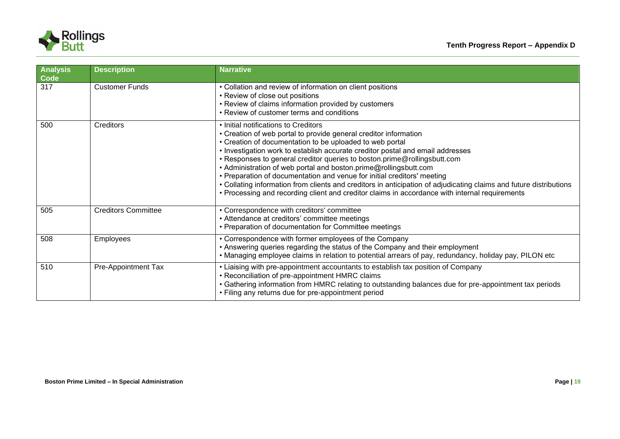

| <b>Analysis</b><br>Code | <b>Description</b>         | <b>Narrative</b>                                                                                                                                                                                                                                                                                                                                                                                                                                                                                                                                                                                                                                                                                          |
|-------------------------|----------------------------|-----------------------------------------------------------------------------------------------------------------------------------------------------------------------------------------------------------------------------------------------------------------------------------------------------------------------------------------------------------------------------------------------------------------------------------------------------------------------------------------------------------------------------------------------------------------------------------------------------------------------------------------------------------------------------------------------------------|
| 317                     | <b>Customer Funds</b>      | • Collation and review of information on client positions<br>• Review of close out positions<br>• Review of claims information provided by customers<br>• Review of customer terms and conditions                                                                                                                                                                                                                                                                                                                                                                                                                                                                                                         |
| 500                     | <b>Creditors</b>           | • Initial notifications to Creditors<br>• Creation of web portal to provide general creditor information<br>• Creation of documentation to be uploaded to web portal<br>. Investigation work to establish accurate creditor postal and email addresses<br>• Responses to general creditor queries to boston.prime@rollingsbutt.com<br>• Administration of web portal and boston.prime@rollingsbutt.com<br>• Preparation of documentation and venue for initial creditors' meeting<br>• Collating information from clients and creditors in anticipation of adjudicating claims and future distributions<br>• Processing and recording client and creditor claims in accordance with internal requirements |
| 505                     | <b>Creditors Committee</b> | • Correspondence with creditors' committee<br>• Attendance at creditors' committee meetings<br>• Preparation of documentation for Committee meetings                                                                                                                                                                                                                                                                                                                                                                                                                                                                                                                                                      |
| 508                     | <b>Employees</b>           | • Correspondence with former employees of the Company<br>• Answering queries regarding the status of the Company and their employment<br>. Managing employee claims in relation to potential arrears of pay, redundancy, holiday pay, PILON etc                                                                                                                                                                                                                                                                                                                                                                                                                                                           |
| 510                     | Pre-Appointment Tax        | • Liaising with pre-appointment accountants to establish tax position of Company<br>• Reconciliation of pre-appointment HMRC claims<br>• Gathering information from HMRC relating to outstanding balances due for pre-appointment tax periods<br>• Filing any returns due for pre-appointment period                                                                                                                                                                                                                                                                                                                                                                                                      |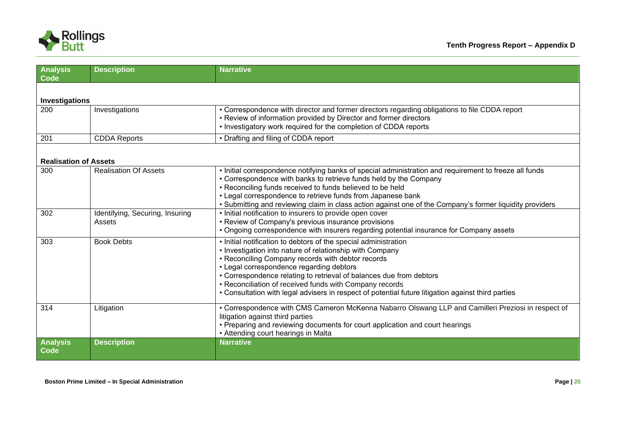

| <b>Analysis</b><br>Code      | <b>Description</b>                        | <b>Narrative</b>                                                                                                                                                                                                                                                                                                                                                                                                                                                     |
|------------------------------|-------------------------------------------|----------------------------------------------------------------------------------------------------------------------------------------------------------------------------------------------------------------------------------------------------------------------------------------------------------------------------------------------------------------------------------------------------------------------------------------------------------------------|
| Investigations               |                                           |                                                                                                                                                                                                                                                                                                                                                                                                                                                                      |
| 200                          | Investigations                            | • Correspondence with director and former directors regarding obligations to file CDDA report<br>• Review of information provided by Director and former directors<br>• Investigatory work required for the completion of CDDA reports                                                                                                                                                                                                                               |
| 201                          | <b>CDDA Reports</b>                       | • Drafting and filing of CDDA report                                                                                                                                                                                                                                                                                                                                                                                                                                 |
| <b>Realisation of Assets</b> |                                           |                                                                                                                                                                                                                                                                                                                                                                                                                                                                      |
| 300                          | <b>Realisation Of Assets</b>              | . Initial correspondence notifying banks of special administration and requirement to freeze all funds<br>• Correspondence with banks to retrieve funds held by the Company<br>• Reconciling funds received to funds believed to be held<br>• Legal correspondence to retrieve funds from Japanese bank<br>• Submitting and reviewing claim in class action against one of the Company's former liquidity providers                                                  |
| 302                          | Identifying, Securing, Insuring<br>Assets | • Initial notification to insurers to provide open cover<br>• Review of Company's previous insurance provisions<br>• Ongoing correspondence with insurers regarding potential insurance for Company assets                                                                                                                                                                                                                                                           |
| 303                          | <b>Book Debts</b>                         | • Initial notification to debtors of the special administration<br>• Investigation into nature of relationship with Company<br>• Reconciling Company records with debtor records<br>• Legal correspondence regarding debtors<br>• Correspondence relating to retrieval of balances due from debtors<br>• Reconciliation of received funds with Company records<br>• Consultation with legal advisers in respect of potential future litigation against third parties |
| 314                          | Litigation                                | • Correspondence with CMS Cameron McKenna Nabarro Olswang LLP and Camilleri Preziosi in respect of<br>litigation against third parties<br>• Preparing and reviewing documents for court application and court hearings<br>• Attending court hearings in Malta                                                                                                                                                                                                        |
| <b>Analysis</b><br>Code      | <b>Description</b>                        | <b>Narrative</b>                                                                                                                                                                                                                                                                                                                                                                                                                                                     |